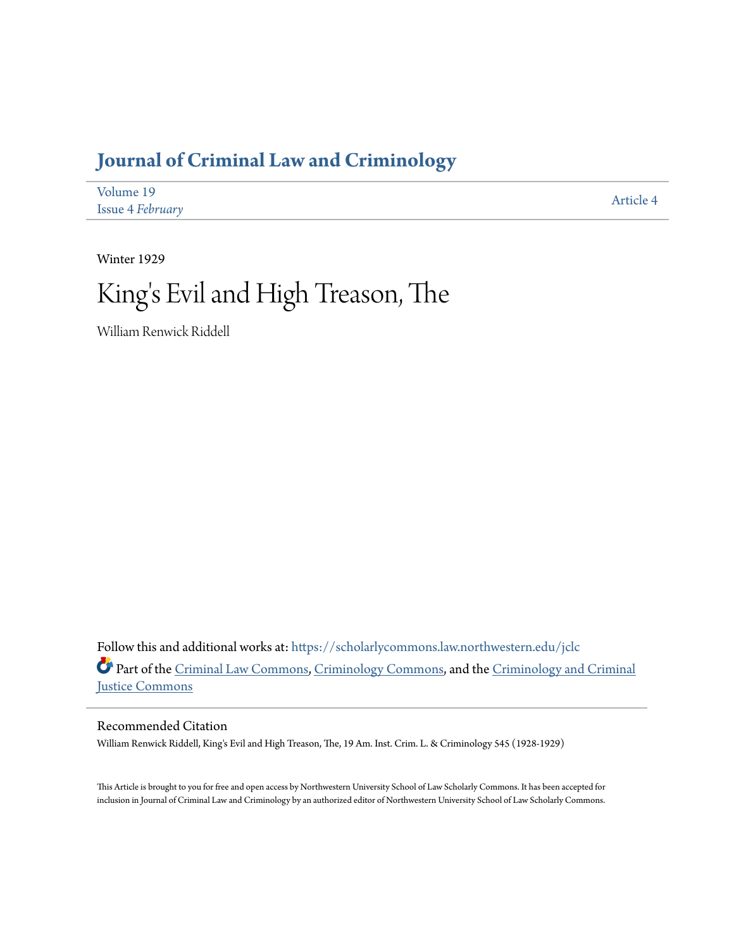## **[Journal of Criminal Law and Criminology](https://scholarlycommons.law.northwestern.edu/jclc?utm_source=scholarlycommons.law.northwestern.edu%2Fjclc%2Fvol19%2Fiss4%2F4&utm_medium=PDF&utm_campaign=PDFCoverPages)**

| Volume 19               | Article 4 |
|-------------------------|-----------|
| <b>Issue 4 February</b> |           |

Winter 1929

# King 's Evil and High Treason, The

William Renwick Riddell

Follow this and additional works at: [https://scholarlycommons.law.northwestern.edu/jclc](https://scholarlycommons.law.northwestern.edu/jclc?utm_source=scholarlycommons.law.northwestern.edu%2Fjclc%2Fvol19%2Fiss4%2F4&utm_medium=PDF&utm_campaign=PDFCoverPages) Part of the [Criminal Law Commons](http://network.bepress.com/hgg/discipline/912?utm_source=scholarlycommons.law.northwestern.edu%2Fjclc%2Fvol19%2Fiss4%2F4&utm_medium=PDF&utm_campaign=PDFCoverPages), [Criminology Commons](http://network.bepress.com/hgg/discipline/417?utm_source=scholarlycommons.law.northwestern.edu%2Fjclc%2Fvol19%2Fiss4%2F4&utm_medium=PDF&utm_campaign=PDFCoverPages), and the [Criminology and Criminal](http://network.bepress.com/hgg/discipline/367?utm_source=scholarlycommons.law.northwestern.edu%2Fjclc%2Fvol19%2Fiss4%2F4&utm_medium=PDF&utm_campaign=PDFCoverPages) [Justice Commons](http://network.bepress.com/hgg/discipline/367?utm_source=scholarlycommons.law.northwestern.edu%2Fjclc%2Fvol19%2Fiss4%2F4&utm_medium=PDF&utm_campaign=PDFCoverPages)

#### Recommended Citation

William Renwick Riddell, King's Evil and High Treason, The, 19 Am. Inst. Crim. L. & Criminology 545 (1928-1929)

This Article is brought to you for free and open access by Northwestern University School of Law Scholarly Commons. It has been accepted for inclusion in Journal of Criminal Law and Criminology by an authorized editor of Northwestern University School of Law Scholarly Commons.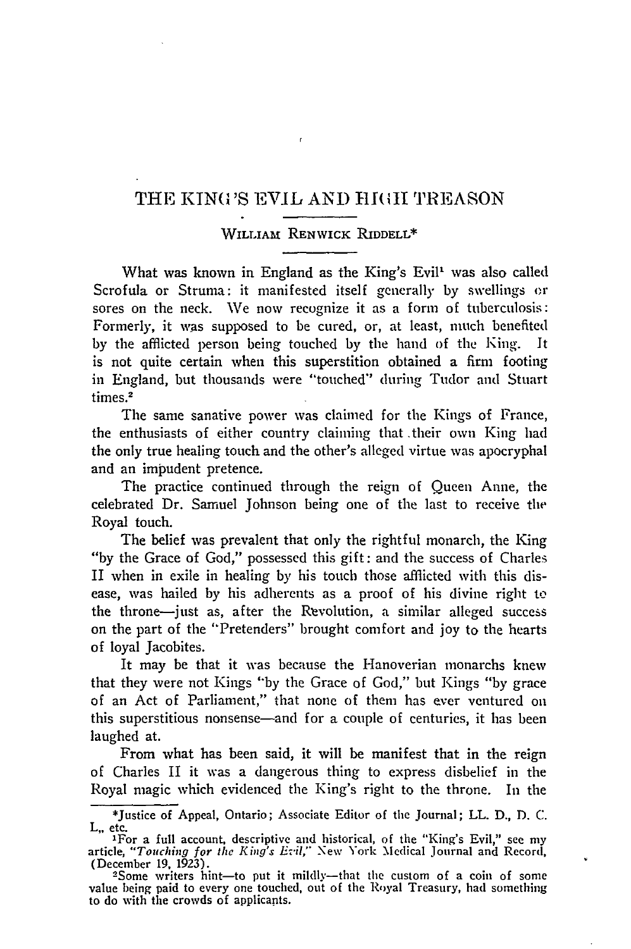### THE KINO 'S EVIL AND TIJ(it TREASON

f.

#### **WILLIAm** RENWICK RIDDELL\*

What was known in England as the King's Evil' was also called Scrofula or Struma: it manifested itself generally by swellings or sores on the neck. We now recognize it as a form of tuberculosis: Formerly, it was supposed to be cured, or, at least, much benefited by the afflicted person being touched by the hand of the King. It is not quite certain when this superstition obtained a firm footing in England, but thousands were "touched" during Tudor and Stuart times.<sup>2</sup>

The same sanative power was claimed for the Kings of France, the enthusiasts of either country claiming that their own King had the only true healing touch and the other's alleged virtue was apocryphal and an impudent pretence.

The practice continued through the reign of Queen Anne, the celebrated Dr. Samuel Johnson being one of the last to receive the Royal touch.

The belief was prevalent that only the rightful monarch, the King "by the Grace of God," possessed this gift: and the success of Charles II when in exile in healing by his touch those afflicted with this disease, was hailed by his adherents as a proof of his divine right to the throne-just as, after the Revolution, a similar alleged success on the part of the "Pretenders" brought comfort and joy to the hearts of loyal Jacobites.

It may be that it was because the Hanoverian monarchs knew that they were not Kings "by the Grace of God," but Kings "by grace of an Act of Parliament," that none of them has ever ventured on this superstitious nonsense-and for a couple of centuries, it has been laughed at.

From what has been said, it will be manifest that in the reign of Charles II it was a dangerous thing to express disbelief in the Royal magic which evidenced the King's right to the throne. In the

<sup>\*</sup>Justice of Appeal, Ontario; Associate Editor of the Journal; LL. D., D. C. L,, etc.

<sup>&#</sup>x27;For a full account, descriptive and historical, of the "King's Evil," see my article, *"Touching for the King's Evil,"* New York Medical Journal and Record,

Some writers hint-to put it mildly-that the custom of a coin of some value being paid to every one touched, out of the Royal Treasury, had something to do with the crowds of applicants.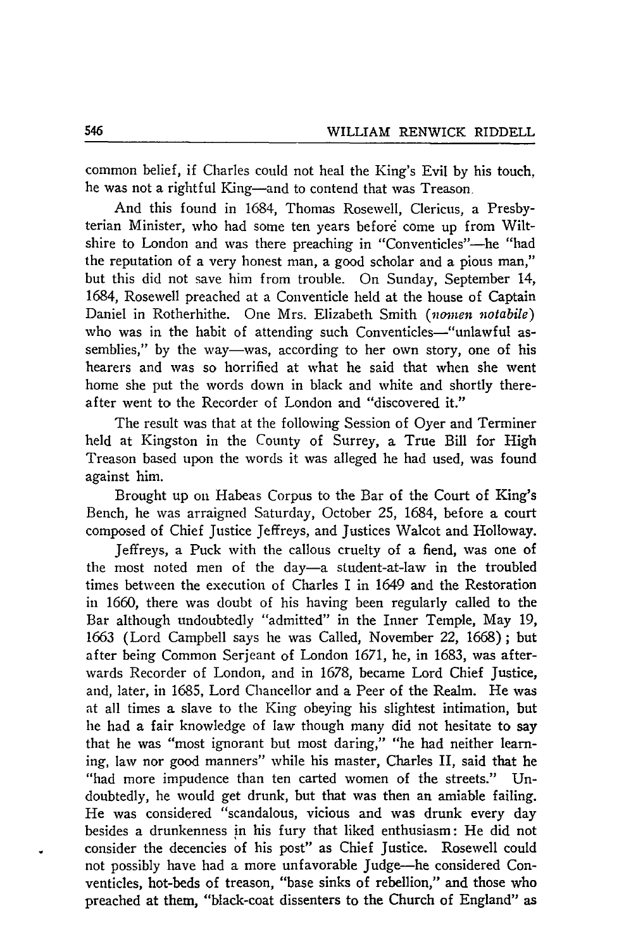common belief, if Charles could not heal the King's Evil by his touch. he was not a rightful King-and to contend that was Treason.

And this found in 1684, Thomas Rosewell, Clericus, a Presbyterian Minister, who had some ten years before come up from Wiltshire to London and was there preaching in "Conventicles"-he "had the reputation of a very honest man, a good scholar and a pious man," but this did not save him from trouble. On Sunday, September 14, 1684, Rosewell preached at a Conventicle held at the house of Captain Daniel in Rotherhithe. One Mrs. Elizabeth Smith *(nomen notabile)* who was in the habit of attending such Conventicles-"unlawful assemblies," by the way—was, according to her own story, one of his hearers and was so horrified at what he said that when she went home she put the words down in black and white and shortly thereafter went to the Recorder of London and "discovered it."

The result was that at the following Session of Oyer and Terminer held at Kingston in the County of Surrey, a True Bill for High Treason based upon the words it was alleged he had used, was found against him.

Brought up on Habeas Corpus to the Bar of the Court of King's Bench, he was arraigned Saturday, October 25, 1684, before a court composed of Chief Justice Jeffreys, and Justices Walcot and Holloway.

Jeffreys, a Puck with the callous cruelty of a fiend, was one of the most noted men of the day-a student-at-law in the troubled times between the execution of Charles I in 1649 and the Restoration in 1660, there was doubt of his having been regularly called to the Bar although undoubtedly "admitted" in the Inner Temple, May 19, 1663 (Lord Campbell says he was Called, November 22, 1668); but after being Common Serjeant of London 1671, he, in 1683, was afterwards Recorder of London, and in 1678, became Lord Chief Justice, and, later, in 1685, Lord Chancellor and a Peer of the Realm. He was at all times a slave to the King obeying his slightest intimation, but he had a fair knowledge of law though many did not hesitate to say that he was "most ignorant but most daring," "he had neither learning, law nor good manners" while his master, Charles II, said that he "had more impudence than ten carted women of the streets." Undoubtedly, he would get drunk, but that was then an amiable failing. He was considered "scandalous, vicious and was drunk every day besides a drunkenness in his fury that liked enthusiasm: He did not consider the decencies of his post" as Chief Justice. Rosewell could not possibly have had a more unfavorable judge-he considered Conventicles, hot-beds of treason, "base sinks of rebellion," and those who preached at them, "black-coat dissenters to the Church of England" as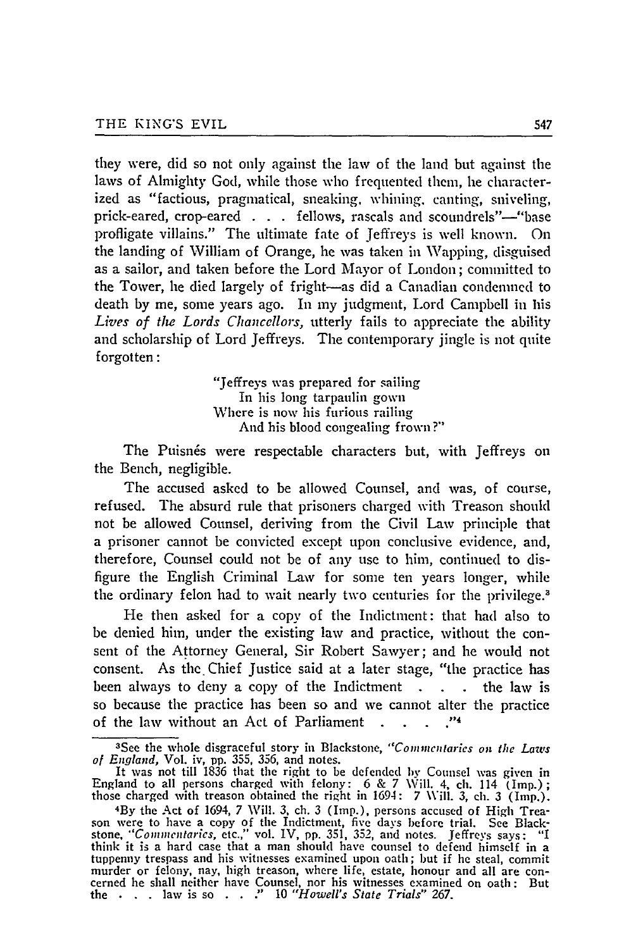they were, did so not only against the law of the land but against the laws of Almighty God, while those who frequented them, he characterized as "factious, pragmatical, sneaking, whining, canting, sniveling, prick-eared, crop-eared . **.** fellows, rascals and scoundrels"-"base profligate villains." The ultimate fate of Jeffreys is well known. On the landing of William of Orange, he was taken in Wapping, disguised as a sailor, and taken before the Lord Mayor of London; committed to the Tower, he died largely of fright-as did a Canadian condemned to death by me, some years ago. In my judgment, Lord Campbell in his *Lives of the Lords Chancellors,* utterly fails to appreciate the ability and scholarship of Lord Jeffreys. The contemporary jingle is not quite forgotten:

> "Jeffreys was prepared for sailing In his long tarpaulin gown Where is now his furious railing And his blood congealing frown?"

The Puisnés were respectable characters but, with Jeffreys on the Bench, negligible.

The accused asked to be allowed Counsel, and was, of course, refused. The absurd rule that prisoners charged with Treason should not be allowed Counsel, deriving from the Civil Law principle that a prisoner cannot be convicted except upon conclusive evidence, and, therefore, Counsel could not be of any use to him, continued to disfigure the English Criminal Law for some ten years longer, while the ordinary felon had to wait nearly two centuries for the privilege.<sup>3</sup>

He then asked for a copy of the Indictment: that had also to be denied him, under the existing law and practice, without the consent of the Attorney General, Sir Robert Sawyer; and he would not consent. As the Chief Justice said at a later stage, "the practice has been always to deny a copy of the Indictment **. .** the law is so because the practice has been so and we cannot alter the practice of the law without an Act of Parliament . . . . . "4

<sup>&</sup>lt;sup>3</sup> See the whole disgraceful story in Blackstone, "Commentaries on the Laws<br> *of England*, Vol. iv, pp. 355, 356, and notes.<br>
It was not till 1836 that the right to be defended by Counsel was given in

England to all persons charged with felony:  $6 \& 7$  Will. 4, ch. 114 (Imp.) those charged with treason obtained the right in 1694: 7 Will. 3, ch. 3 (Imp.).

By the Act of 1694, 7 Will. 3, ch. 3 (Imp.), persons accused of High Trea- son were to have a copy of the Indictment, five days before trial. See Blackstone, *"Commentaries,* etc.," vol. IV, **pp.** 351, **352,** and notes. Jeffreys says: "I think it is a hard case that a man should have counsel to defend himself in a tuppenny trespass and his witnesses examined upon oath; but if he steal, commit murder or felony, nay, high treason, where life, estate, honour and all are con- cerned he shall neither have Counsel, nor his witnesses examined on oath: But the **. .** . law is so . . ." 10 *"Howell's State Trials" 267.*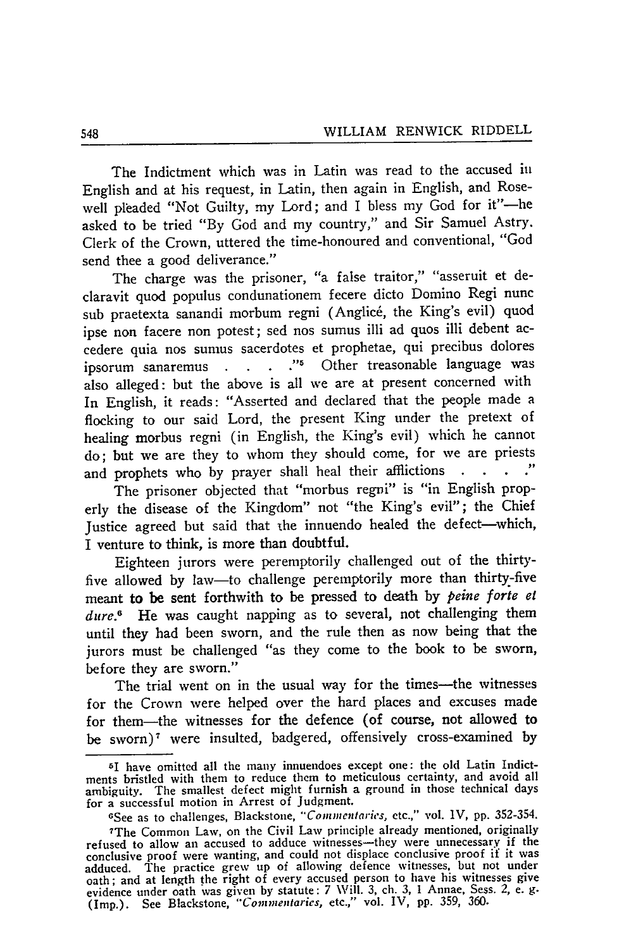The Indictment which was in Latin was read to the accused in English and at his request, in Latin, then again in English, and Rosewell pleaded "Not Guilty, my Lord; and I bless my God for it"-he asked to be tried "By God and my country," and Sir Samuel Astry. Clerk of the Crown, uttered the time-honoured and conventional, "God send thee a good deliverance."

The charge was the prisoner, "a false traitor," "asseruit et declaravit quod populus condunationem fecere dicto Domino Regi nunc sub praetexta sanandi morbum regni (Anglic6, the King's evil) quod ipse non facere non potest; sed nos sumus illi ad quos illi debent accedere quia nos sumus sacerdotes et prophetae, qui precibus dolores ipsorum sanaremus . **. . ."5** Other treasonable language was also alleged: but the above is all we are at present concerned with In English, it reads: "Asserted and declared that the people made a flocking to our said Lord, the present King under the pretext of healing morbus regni (in English, the King's evil) which he cannot do; but we are they to whom they should come, for we are priests and prophets who by prayer shall heal their afflictions ..

The prisoner objected that "morbus regni" is "in English properly the disease of the Kingdom" not "the King's evil"; the Chief Justice agreed but said that the innuendo healed the defect-which, I venture to think, is more than doubtful.

Eighteen jurors were peremptorily challenged out of the thirtyfive allowed by law-to challenge peremptorily more than thirty-five meant to be sent forthwith to be pressed to death **by** *peine forte el dure.6* He was caught napping as to several, not challenging them until they had been sworn, and the rule then as now being that the jurors must be challenged "as they come to the book to be sworn, before they are sworn."

The trial went on in the usual way for the times-the witnesses for the Crown were helped over the hard places and excuses made for them-the witnesses for the defence (of course, not allowed to be sworn)<sup>7</sup> were insulted, badgered, offensively cross-examined by

<sup>51</sup> have omitted all the many innuendoes except one: the old Latin Indictments bristled with them to reduce them to meticulous certainty, and avoid all ambiguity. The smallest defect might furnish a ground in those technical days for a successful motion in Arrest of Judgment.

<sup>(</sup>See as to challenges, Blackstone, *"'Commentaries,* etc.," vol. 1V, pp. 352-354.

<sup>7</sup> The Common Law, on the Civil Law principle already mentioned, originally refused to allow an accused to adduce witnesses—they were unnecessary if the conclusive proof were wanting, and could not displace conclusive proof if it was adduced. The practice grew up of allowing defence witnesses, but not under oath; and at length the right of every accused person to have his witnesses give evidence under oath was given by statute: 7 Will. 3, ch. 3, 1 Annae, Sess. 2, e. **g.** (Imp.). See Blackstone, *"Corninentaries,* etc.," vol. IV, pp. 359, 360.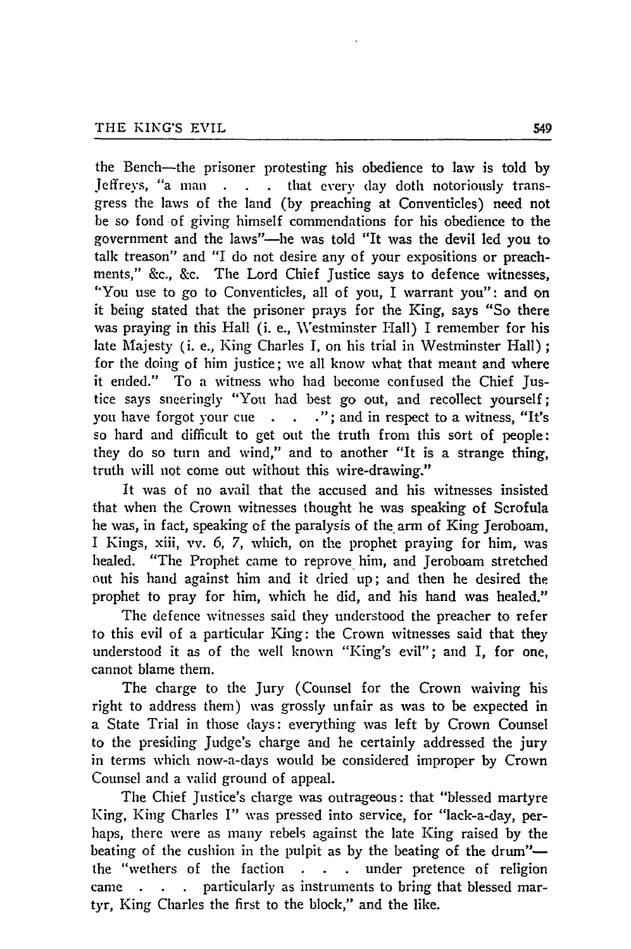the Bench-the prisoner protesting his obedience to law is told **by** Jeffreys, "a man . . . that every day doth notoriously transgress the laws of the land (by preaching at Conventicles) need not be so fond of giving himself commendations for his obedience to the government and the laws"-he was told "It was the devil led you to talk treason" and "I do not desire any of your expositions or preachments," &c., &c. The Lord Chief Justice says to defence witnesses, "You use to go to Conventicles, all of you, I warrant you": and on it being stated that the prisoner prays for the King, says "So there was praying in this Hall (i. e., Vestminster Hall) I remember for his late Majesty (i. e., King Charles I, on his trial in Westminster Hall) **;** for the doing of him justice; we all know what that meant and where it ended." To a witness who had become confused the Chief Justice says sneeringly "You had best go out, and recollect yourself; you have forgot your cue . . . "; and in respect to a witness, "It's so hard and difficult to get out the truth from this sort of people: they do so turn and wind," and to another "It is a strange thing, truth will not come out without this wire-drawing."

It was of no avail that the accused and his witnesses insisted that when the Crown witnesses thought he was speaking of Scrofula he was, in fact, speaking of the paralysis of the arm of King Jeroboam, I Kings, xiii, vv. 6, 7, which, on the prophet praying for him, was healed. "The Prophet came to reprove him, and Jeroboam stretched out his hand against him and it dried up; and then he desired the prophet to pray for him, which he did, and his hand was healed."

The defence witnesses said they understood the preacher to refer to this evil of a particular King: the Crown witnesses said that they understood it as of the well known "King's evil"; and I, for one, cannot blame them.

The charge to the jury (Counsel for the Crown waiving his right to address them) was grossly unfair as was to be expected in a State Trial in those days: everything was left by Crown Counsel to the presiding Judge's charge and he certainly addressed the jury in terms which now-a-days would be considered improper by Crown Counsel and a valid ground of appeal.

The Chief Justice's charge was outrageous: that "blessed martyre King, King Charles I" was pressed into service, for "lack-a-day, perhaps, there were as many rebels against the late King raised by the beating of the cushion in the pulpit as by the beating of the drum"the "wethers of the faction **. . .** under pretence of religion came **. . .** particularly as instruments to bring that blessed martyr, King Charles the first to the block," and the like.